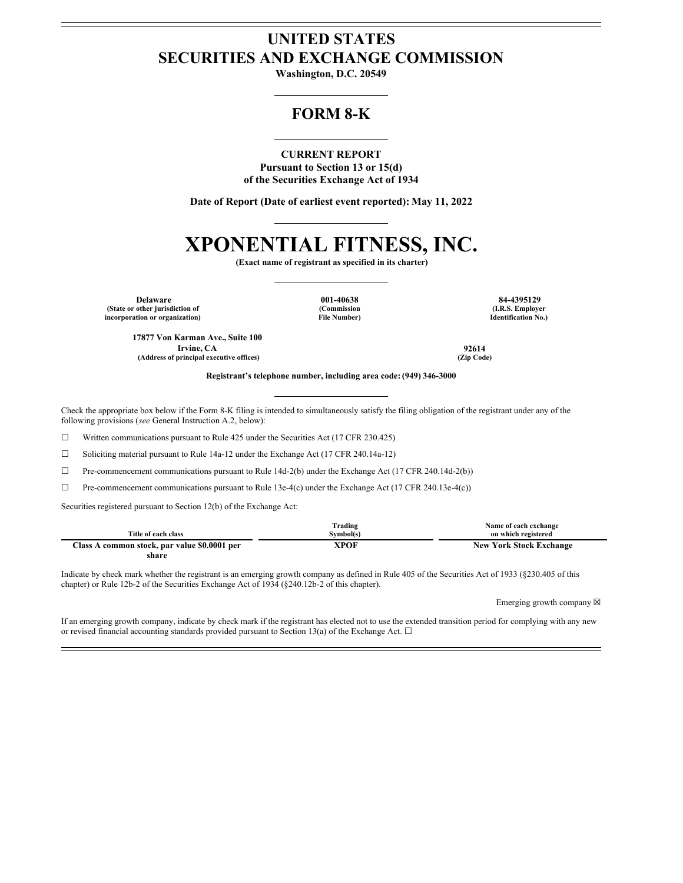## **UNITED STATES SECURITIES AND EXCHANGE COMMISSION**

**Washington, D.C. 20549**

### **FORM 8-K**

**CURRENT REPORT Pursuant to Section 13 or 15(d) of the Securities Exchange Act of 1934**

**Date of Report (Date of earliest event reported): May 11, 2022**

# **XPONENTIAL FITNESS, INC.**

**(Exact name of registrant as specified in its charter)**

**Delaware 001-40638 84-4395129 (State or other jurisdiction of incorporation or organization)**

**(Commission File Number)**

**(I.R.S. Employer Identification No.)**

**17877 Von Karman Ave., Suite 100 Irvine, CA 92614 (Address of principal executive offices) (Zip Code)**

**Registrant's telephone number, including area code: (949) 346-3000**

Check the appropriate box below if the Form 8-K filing is intended to simultaneously satisfy the filing obligation of the registrant under any of the following provisions (*see* General Instruction A.2, below):

☐ Written communications pursuant to Rule 425 under the Securities Act (17 CFR 230.425)

☐ Soliciting material pursuant to Rule 14a-12 under the Exchange Act (17 CFR 240.14a-12)

 $\Box$  Pre-commencement communications pursuant to Rule 14d-2(b) under the Exchange Act (17 CFR 240.14d-2(b))

☐ Pre-commencement communications pursuant to Rule 13e-4(c) under the Exchange Act (17 CFR 240.13e-4(c))

Securities registered pursuant to Section 12(b) of the Exchange Act:

|                                              | Trading   | Name of each exchange          |
|----------------------------------------------|-----------|--------------------------------|
| Title of each class                          | Svmbol(s) | on which registered            |
| Class A common stock, par value \$0.0001 per | XPOF      | <b>New York Stock Exchange</b> |
| share                                        |           |                                |

Indicate by check mark whether the registrant is an emerging growth company as defined in Rule 405 of the Securities Act of 1933 (§230.405 of this chapter) or Rule 12b-2 of the Securities Exchange Act of 1934 (§240.12b-2 of this chapter).

Emerging growth company  $\boxtimes$ 

If an emerging growth company, indicate by check mark if the registrant has elected not to use the extended transition period for complying with any new or revised financial accounting standards provided pursuant to Section 13(a) of the Exchange Act.  $\Box$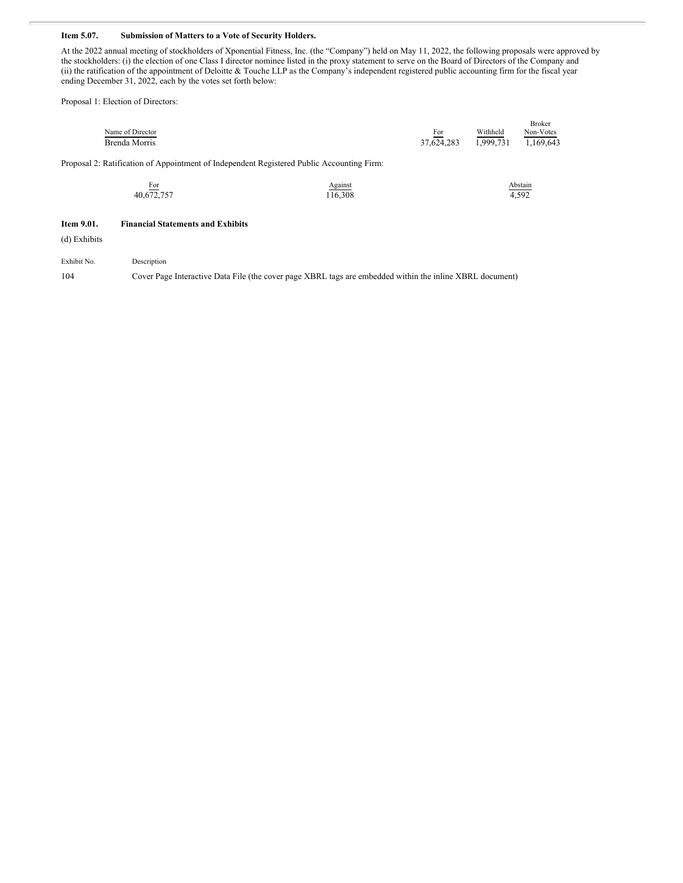#### **Item 5.07. Submission of Matters to a Vote of Security Holders.**

At the 2022 annual meeting of stockholders of Xponential Fitness, Inc. (the "Company") held on May 11, 2022, the following proposals were approved by the stockholders: (i) the election of one Class I director nominee listed in the proxy statement to serve on the Board of Directors of the Company and (ii) the ratification of the appointment of Deloitte & Touche LLP as the Company's independent registered public accounting firm for the fiscal year ending December 31, 2022, each by the votes set forth below:

Proposal 1: Election of Directors:

|                  |            |           | <b>Broker</b> |
|------------------|------------|-----------|---------------|
| Name of Director | For        | Withheld  | Non-Votes     |
| Brenda Morris    | 37.624.283 | 1,999,731 | 1,169,643     |

Proposal 2: Ratification of Appointment of Independent Registered Public Accounting Firm:

| For                                        | Against                                                                                                                                                                                                                              | Abstain |
|--------------------------------------------|--------------------------------------------------------------------------------------------------------------------------------------------------------------------------------------------------------------------------------------|---------|
| <b>Contract Contract Contract Contract</b> | <u>in the company of the company of the company of the company of the company of the company of the company of the company of the company of the company of the company of the company of the company of the company of the comp</u> |         |
| 40,672,757                                 | 116,308                                                                                                                                                                                                                              | 4,592   |

#### **Item 9.01. Financial Statements and Exhibits**

(d) Exhibits

Exhibit No. Description

104 Cover Page Interactive Data File (the cover page XBRL tags are embedded within the inline XBRL document)